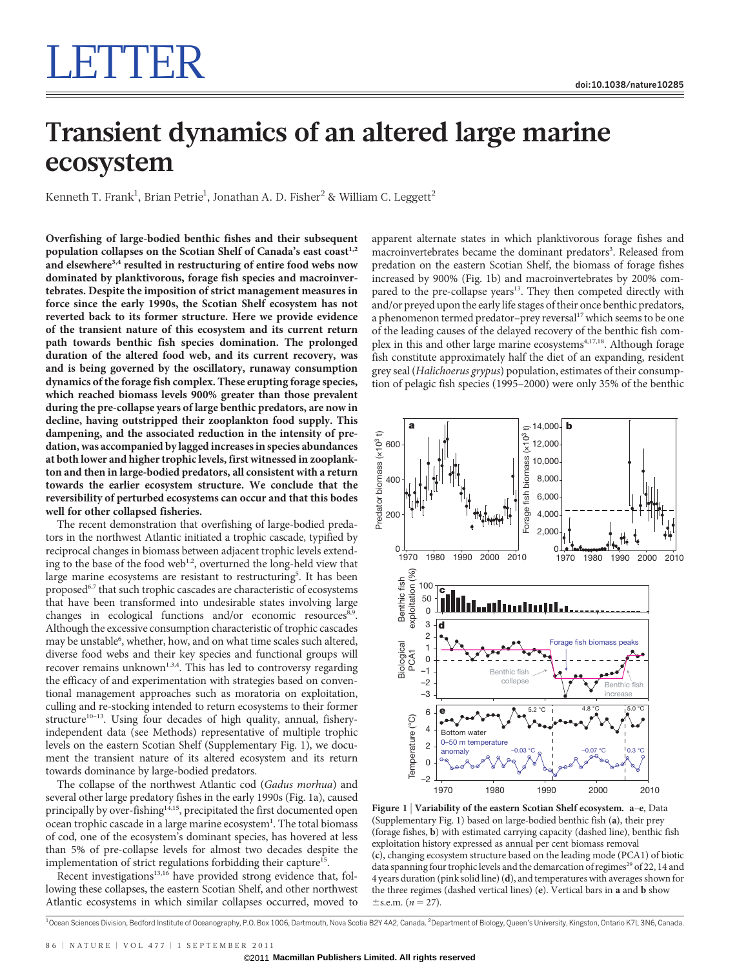# LETTER I

## Transient dynamics of an altered large marine ecosystem

Kenneth T. Frank $^{\rm l}$ , Brian Petrie $^{\rm l}$ , Jonathan A. D. Fisher $^{\rm 2}$  & William C. Leggett $^{\rm 2}$ 

Overfishing of large-bodied benthic fishes and their subsequent population collapses on the Scotian Shelf of Canada's east coast<sup>1,2</sup> and elsewhere<sup>3,4</sup> resulted in restructuring of entire food webs now dominated by planktivorous, forage fish species and macroinvertebrates. Despite the imposition of strict management measures in force since the early 1990s, the Scotian Shelf ecosystem has not reverted back to its former structure. Here we provide evidence of the transient nature of this ecosystem and its current return path towards benthic fish species domination. The prolonged duration of the altered food web, and its current recovery, was and is being governed by the oscillatory, runaway consumption dynamics of the forage fish complex. These erupting forage species, which reached biomass levels 900% greater than those prevalent during the pre-collapse years of large benthic predators, are now in decline, having outstripped their zooplankton food supply. This dampening, and the associated reduction in the intensity of predation, was accompanied by lagged increases in species abundances at both lower and higher trophic levels, first witnessed in zooplankton and then in large-bodied predators, all consistent with a return towards the earlier ecosystem structure. We conclude that the reversibility of perturbed ecosystems can occur and that this bodes well for other collapsed fisheries.

The recent demonstration that overfishing of large-bodied predators in the northwest Atlantic initiated a trophic cascade, typified by reciprocal changes in biomass between adjacent trophic levels extending to the base of the food web<sup>1,2</sup>, overturned the long-held view that large marine ecosystems are resistant to restructuring<sup>5</sup>. It has been proposed<sup>6,7</sup> that such trophic cascades are characteristic of ecosystems that have been transformed into undesirable states involving large changes in ecological functions and/or economic resources<sup>8,9</sup>. Although the excessive consumption characteristic of trophic cascades may be unstable<sup>6</sup>, whether, how, and on what time scales such altered, diverse food webs and their key species and functional groups will recover remains unknown<sup>1,3,4</sup>. This has led to controversy regarding the efficacy of and experimentation with strategies based on conventional management approaches such as moratoria on exploitation, culling and re-stocking intended to return ecosystems to their former structure<sup>10-13</sup>. Using four decades of high quality, annual, fisheryindependent data (see Methods) representative of multiple trophic levels on the eastern Scotian Shelf (Supplementary Fig. 1), we document the transient nature of its altered ecosystem and its return towards dominance by large-bodied predators.

The collapse of the northwest Atlantic cod (Gadus morhua) and several other large predatory fishes in the early 1990s (Fig. 1a), caused principally by over-fishing<sup>14,15</sup>, precipitated the first documented open ocean trophic cascade in a large marine ecosystem<sup>1</sup>. The total biomass of cod, one of the ecosystem's dominant species, has hovered at less than 5% of pre-collapse levels for almost two decades despite the implementation of strict regulations forbidding their capture<sup>15</sup>.

Recent investigations $13,16$  have provided strong evidence that, following these collapses, the eastern Scotian Shelf, and other northwest Atlantic ecosystems in which similar collapses occurred, moved to apparent alternate states in which planktivorous forage fishes and macroinvertebrates became the dominant predators<sup>3</sup>. Released from predation on the eastern Scotian Shelf, the biomass of forage fishes increased by 900% (Fig. 1b) and macroinvertebrates by 200% compared to the pre-collapse years<sup>13</sup>. They then competed directly with and/or preyed upon the early life stages of their once benthic predators, a phenomenon termed predator-prey reversal<sup>17</sup> which seems to be one of the leading causes of the delayed recovery of the benthic fish complex in this and other large marine ecosystems<sup>4,17,18</sup>. Although forage fish constitute approximately half the diet of an expanding, resident grey seal (Halichoerus grypus) population, estimates of their consumption of pelagic fish species (1995–2000) were only 35% of the benthic



Figure 1 <sup>|</sup> Variability of the eastern Scotian Shelf ecosystem. a–e, Data (Supplementary Fig. 1) based on large-bodied benthic fish (a), their prey (forage fishes, b) with estimated carrying capacity (dashed line), benthic fish exploitation history expressed as annual per cent biomass removal (c), changing ecosystem structure based on the leading mode (PCA1) of biotic data spanning four trophic levels and the demarcation of regimes<sup>29</sup> of 22, 14 and 4 years duration (pink solid line) (d), and temperatures with averages shown for the three regimes (dashed vertical lines) (e). Vertical bars in a and b show  $\pm$ s.e.m. (*n* = 27).

<sup>1</sup>Ocean Sciences Division, Bedford Institute of Oceanography, P.O. Box 1006, Dartmouth, Nova Scotia B2Y 4A2, Canada. <sup>2</sup>Department of Biology, Queen's University, Kingston, Ontario K7L 3N6, Canada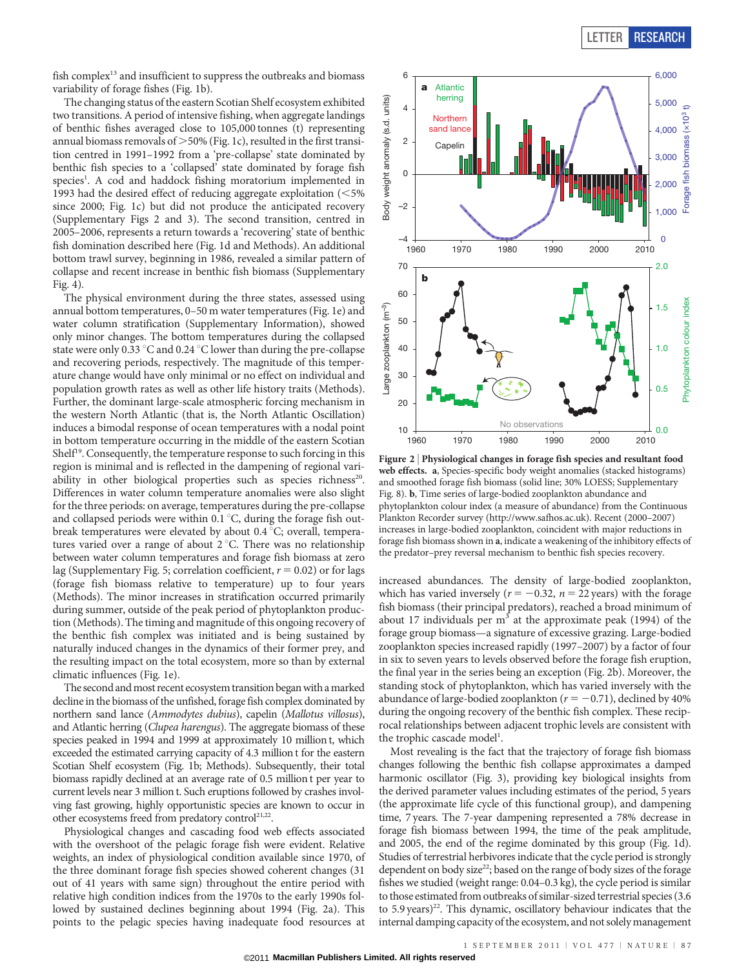fish complex<sup>13</sup> and insufficient to suppress the outbreaks and biomass variability of forage fishes (Fig. 1b).

The changing status of the eastern Scotian Shelf ecosystem exhibited two transitions. A period of intensive fishing, when aggregate landings of benthic fishes averaged close to 105,000 tonnes (t) representing annual biomass removals of  $>$  50% (Fig. 1c), resulted in the first transition centred in 1991–1992 from a 'pre-collapse' state dominated by benthic fish species to a 'collapsed' state dominated by forage fish species<sup>1</sup>. A cod and haddock fishing moratorium implemented in 1993 had the desired effect of reducing aggregate exploitation  $(<$  5% since 2000; Fig. 1c) but did not produce the anticipated recovery (Supplementary Figs 2 and 3). The second transition, centred in 2005–2006, represents a return towards a 'recovering' state of benthic fish domination described here (Fig. 1d and Methods). An additional bottom trawl survey, beginning in 1986, revealed a similar pattern of collapse and recent increase in benthic fish biomass (Supplementary Fig. 4).

The physical environment during the three states, assessed using annual bottom temperatures, 0–50 m water temperatures (Fig. 1e) and water column stratification (Supplementary Information), showed only minor changes. The bottom temperatures during the collapsed state were only 0.33  $\degree$ C and 0.24  $\degree$ C lower than during the pre-collapse and recovering periods, respectively. The magnitude of this temperature change would have only minimal or no effect on individual and population growth rates as well as other life history traits (Methods). Further, the dominant large-scale atmospheric forcing mechanism in the western North Atlantic (that is, the North Atlantic Oscillation) induces a bimodal response of ocean temperatures with a nodal point in bottom temperature occurring in the middle of the eastern Scotian Shelf<sup>19</sup>. Consequently, the temperature response to such forcing in this region is minimal and is reflected in the dampening of regional variability in other biological properties such as species richness<sup>20</sup>. Differences in water column temperature anomalies were also slight for the three periods: on average, temperatures during the pre-collapse and collapsed periods were within  $0.1\degree C$ , during the forage fish outbreak temperatures were elevated by about 0.4  $\degree$ C; overall, temperatures varied over a range of about  $2^{\circ}$ C. There was no relationship between water column temperatures and forage fish biomass at zero lag (Supplementary Fig. 5; correlation coefficient,  $r = 0.02$ ) or for lags (forage fish biomass relative to temperature) up to four years (Methods). The minor increases in stratification occurred primarily during summer, outside of the peak period of phytoplankton production (Methods). The timing and magnitude of this ongoing recovery of the benthic fish complex was initiated and is being sustained by naturally induced changes in the dynamics of their former prey, and the resulting impact on the total ecosystem, more so than by external climatic influences (Fig. 1e).

The second and most recent ecosystem transition began with a marked decline in the biomass of the unfished, forage fish complex dominated by northern sand lance (Ammodytes dubius), capelin (Mallotus villosus), and Atlantic herring (Clupea harengus). The aggregate biomass of these species peaked in 1994 and 1999 at approximately 10 million t, which exceeded the estimated carrying capacity of 4.3 million t for the eastern Scotian Shelf ecosystem (Fig. 1b; Methods). Subsequently, their total biomass rapidly declined at an average rate of 0.5 million t per year to current levels near 3 million t. Such eruptions followed by crashes involving fast growing, highly opportunistic species are known to occur in other ecosystems freed from predatory control<sup>21,22</sup>.

Physiological changes and cascading food web effects associated with the overshoot of the pelagic forage fish were evident. Relative weights, an index of physiological condition available since 1970, of the three dominant forage fish species showed coherent changes (31 out of 41 years with same sign) throughout the entire period with relative high condition indices from the 1970s to the early 1990s followed by sustained declines beginning about 1994 (Fig. 2a). This points to the pelagic species having inadequate food resources at



Figure 2 <sup>|</sup> Physiological changes in forage fish species and resultant food web effects. a, Species-specific body weight anomalies (stacked histograms) and smoothed forage fish biomass (solid line; 30% LOESS; Supplementary Fig. 8). b, Time series of large-bodied zooplankton abundance and phytoplankton colour index (a measure of abundance) from the Continuous Plankton Recorder survey [\(http://www.safhos.ac.uk](http://www.safhos.ac.uk)). Recent (2000–2007) increases in large-bodied zooplankton, coincident with major reductions in forage fish biomass shown in a, indicate a weakening of the inhibitory effects of the predator–prey reversal mechanism to benthic fish species recovery.

increased abundances. The density of large-bodied zooplankton, which has varied inversely ( $r = -0.32$ ,  $n = 22$  years) with the forage fish biomass (their principal predators), reached a broad minimum of about 17 individuals per  $m<sup>3</sup>$  at the approximate peak (1994) of the forage group biomass—a signature of excessive grazing. Large-bodied zooplankton species increased rapidly (1997–2007) by a factor of four in six to seven years to levels observed before the forage fish eruption, the final year in the series being an exception (Fig. 2b). Moreover, the standing stock of phytoplankton, which has varied inversely with the abundance of large-bodied zooplankton ( $r = -0.71$ ), declined by 40% during the ongoing recovery of the benthic fish complex. These reciprocal relationships between adjacent trophic levels are consistent with the trophic cascade model<sup>1</sup>.

Most revealing is the fact that the trajectory of forage fish biomass changes following the benthic fish collapse approximates a damped harmonic oscillator (Fig. 3), providing key biological insights from the derived parameter values including estimates of the period, 5 years (the approximate life cycle of this functional group), and dampening time, 7 years. The 7-year dampening represented a 78% decrease in forage fish biomass between 1994, the time of the peak amplitude, and 2005, the end of the regime dominated by this group (Fig. 1d). Studies of terrestrial herbivores indicate that the cycle period is strongly dependent on body size<sup>22</sup>; based on the range of body sizes of the forage fishes we studied (weight range: 0.04–0.3 kg), the cycle period is similar to those estimated from outbreaks of similar-sized terrestrial species (3.6 to 5.9 years)<sup>22</sup>. This dynamic, oscillatory behaviour indicates that the internal damping capacity of the ecosystem, and not solely management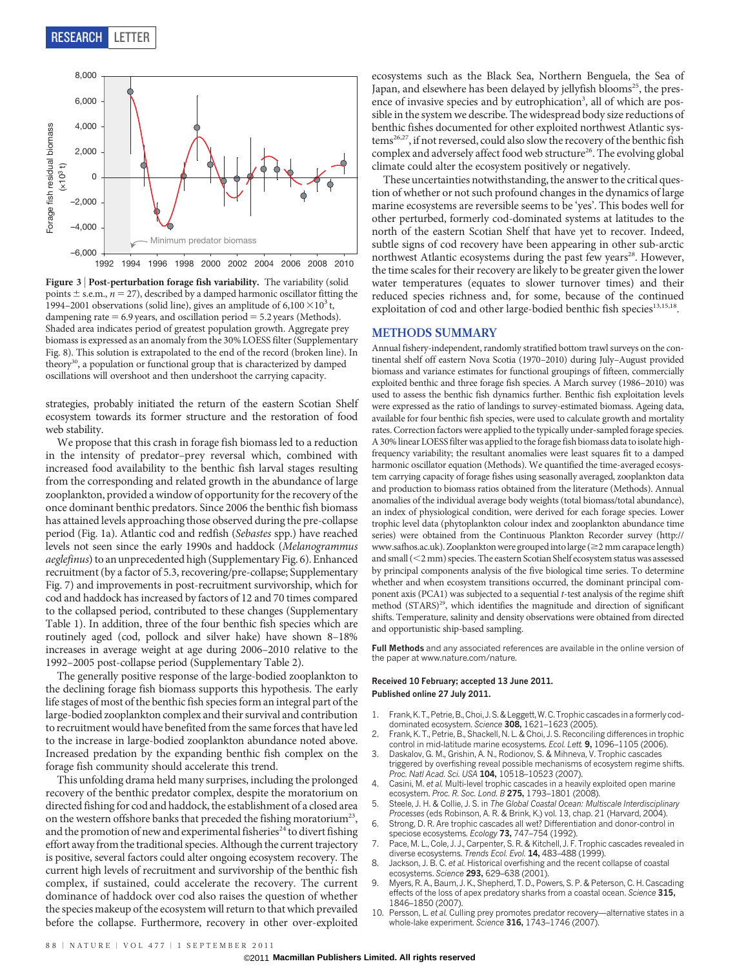

Figure 3 | Post-perturbation forage fish variability. The variability (solid points  $\pm$  s.e.m.,  $n = 27$ ), described by a damped harmonic oscillator fitting the 1994–2001 observations (solid line), gives an amplitude of  $6,100 \times 10^3$  t, dampening rate  $= 6.9$  years, and oscillation period  $= 5.2$  years (Methods). Shaded area indicates period of greatest population growth. Aggregate prey biomass is expressed as an anomaly from the 30% LOESS filter (Supplementary Fig. 8). This solution is extrapolated to the end of the record (broken line). In theory<sup>30</sup>, a population or functional group that is characterized by damped oscillations will overshoot and then undershoot the carrying capacity.

strategies, probably initiated the return of the eastern Scotian Shelf ecosystem towards its former structure and the restoration of food web stability.

We propose that this crash in forage fish biomass led to a reduction in the intensity of predator–prey reversal which, combined with increased food availability to the benthic fish larval stages resulting from the corresponding and related growth in the abundance of large zooplankton, provided a window of opportunity for the recovery of the once dominant benthic predators. Since 2006 the benthic fish biomass has attained levels approaching those observed during the pre-collapse period (Fig. 1a). Atlantic cod and redfish (Sebastes spp.) have reached levels not seen since the early 1990s and haddock (Melanogrammus aeglefinus) to an unprecedented high (Supplementary Fig. 6). Enhanced recruitment (by a factor of 5.3, recovering/pre-collapse; Supplementary Fig. 7) and improvements in post-recruitment survivorship, which for cod and haddock has increased by factors of 12 and 70 times compared to the collapsed period, contributed to these changes (Supplementary Table 1). In addition, three of the four benthic fish species which are routinely aged (cod, pollock and silver hake) have shown 8–18% increases in average weight at age during 2006–2010 relative to the 1992–2005 post-collapse period (Supplementary Table 2).

The generally positive response of the large-bodied zooplankton to the declining forage fish biomass supports this hypothesis. The early life stages of most of the benthic fish species form an integral part of the large-bodied zooplankton complex and their survival and contribution to recruitment would have benefited from the same forces that have led to the increase in large-bodied zooplankton abundance noted above. Increased predation by the expanding benthic fish complex on the forage fish community should accelerate this trend.

This unfolding drama held many surprises, including the prolonged recovery of the benthic predator complex, despite the moratorium on directed fishing for cod and haddock, the establishment of a closed area on the western offshore banks that preceded the fishing moratorium<sup>23</sup>, and the promotion of new and experimental fisheries<sup>24</sup> to divert fishing effort away from the traditional species. Although the current trajectory is positive, several factors could alter ongoing ecosystem recovery. The current high levels of recruitment and survivorship of the benthic fish complex, if sustained, could accelerate the recovery. The current dominance of haddock over cod also raises the question of whether the species makeup of the ecosystem will return to that which prevailed before the collapse. Furthermore, recovery in other over-exploited

ecosystems such as the Black Sea, Northern Benguela, the Sea of Japan, and elsewhere has been delayed by jellyfish blooms<sup>25</sup>, the presence of invasive species and by eutrophication<sup>3</sup>, all of which are possible in the system we describe. The widespread body size reductions of benthic fishes documented for other exploited northwest Atlantic systems26,27, if not reversed, could also slow the recovery of the benthic fish complex and adversely affect food web structure<sup>26</sup>. The evolving global climate could alter the ecosystem positively or negatively.

These uncertainties notwithstanding, the answer to the critical question of whether or not such profound changes in the dynamics of large marine ecosystems are reversible seems to be 'yes'. This bodes well for other perturbed, formerly cod-dominated systems at latitudes to the north of the eastern Scotian Shelf that have yet to recover. Indeed, subtle signs of cod recovery have been appearing in other sub-arctic northwest Atlantic ecosystems during the past few years<sup>28</sup>. However, the time scales for their recovery are likely to be greater given the lower water temperatures (equates to slower turnover times) and their reduced species richness and, for some, because of the continued exploitation of cod and other large-bodied benthic fish species<sup>13,15,18</sup>.

#### METHODS SUMMARY

Annual fishery-independent, randomly stratified bottom trawl surveys on the continental shelf off eastern Nova Scotia (1970–2010) during July–August provided biomass and variance estimates for functional groupings of fifteen, commercially exploited benthic and three forage fish species. A March survey (1986–2010) was used to assess the benthic fish dynamics further. Benthic fish exploitation levels were expressed as the ratio of landings to survey-estimated biomass. Ageing data, available for four benthic fish species, were used to calculate growth and mortality rates. Correction factors were applied to the typically under-sampled forage species. A 30% linear LOESS filter was applied to the forage fish biomass data to isolate highfrequency variability; the resultant anomalies were least squares fit to a damped harmonic oscillator equation (Methods). We quantified the time-averaged ecosystem carrying capacity of forage fishes using seasonally averaged, zooplankton data and production to biomass ratios obtained from the literature (Methods). Annual anomalies of the individual average body weights (total biomass/total abundance), an index of physiological condition, were derived for each forage species. Lower trophic level data (phytoplankton colour index and zooplankton abundance time series) were obtained from the Continuous Plankton Recorder survey [\(http://](http://www.safhos.ac.uk) [www.safhos.ac.uk](http://www.safhos.ac.uk)). Zooplankton were grouped into large ( $\geq$ 2 mm carapace length) and small  $(<$ 2 mm) species. The eastern Scotian Shelf ecosystem status was assessed by principal components analysis of the five biological time series. To determine whether and when ecosystem transitions occurred, the dominant principal component axis (PCA1) was subjected to a sequential t-test analysis of the regime shift method (STARS)<sup>29</sup>, which identifies the magnitude and direction of significant shifts. Temperature, salinity and density observations were obtained from directed and opportunistic ship-based sampling.

Full Methods and any associated references are available in the online version of the paper at<www.nature.com/nature>.

#### Received 10 February; accepted 13 June 2011. Published online 27 July 2011.

- 1. Frank, K. T., Petrie, B., Choi, J. S. & Leggett,W. C. Trophic cascades in a formerly coddominated ecosystem. Science 308, 1621–1623 (2005).
- 2. Frank, K. T., Petrie, B., Shackell, N. L. & Choi, J. S. Reconciling differences in trophic control in mid-latitude marine ecosystems. Ecol. Lett. 9, 1096-1105 (2006).
- 3. Daskalov, G. M., Grishin, A. N., Rodionov, S. & Mihneva, V. Trophic cascades triggered by overfishing reveal possible mechanisms of ecosystem regime shifts. Proc. Natl Acad. Sci. USA 104, 10518-10523 (2007).
- Casini, M. et al. Multi-level trophic cascades in a heavily exploited open marine ecosystem. Proc. R. Soc. Lond. B 275, 1793-1801 (2008).
- 5. Steele, J. H. & Collie, J. S. in The Global Coastal Ocean: Multiscale Interdisciplinary Processes (eds Robinson, A. R. & Brink, K.) vol. 13, chap. 21 (Harvard, 2004).
- 6. Strong, D. R. Are trophic cascades all wet? Differentiation and donor-control in speciose ecosystems. Ecology 73, 747–754 (1992)
- 7. Pace, M. L., Cole, J. J., Carpenter, S. R. & Kitchell, J. F. Trophic cascades revealed in diverse ecosystems. Trends Ecol. Evol. 14, 483-488 (1999)
- Jackson, J. B. C. et al. Historical overfishing and the recent collapse of coastal ecosystems. Science 293, 629–638 (2001).
- 9. Myers, R. A., Baum, J. K., Shepherd, T. D., Powers, S. P. & Peterson, C. H. Cascading effects of the loss of apex predatory sharks from a coastal ocean. Science 315, 1846–1850 (2007).
- 10. Persson, L. et al. Culling prey promotes predator recovery—alternative states in a whole-lake experiment. Science 316, 1743–1746 (2007).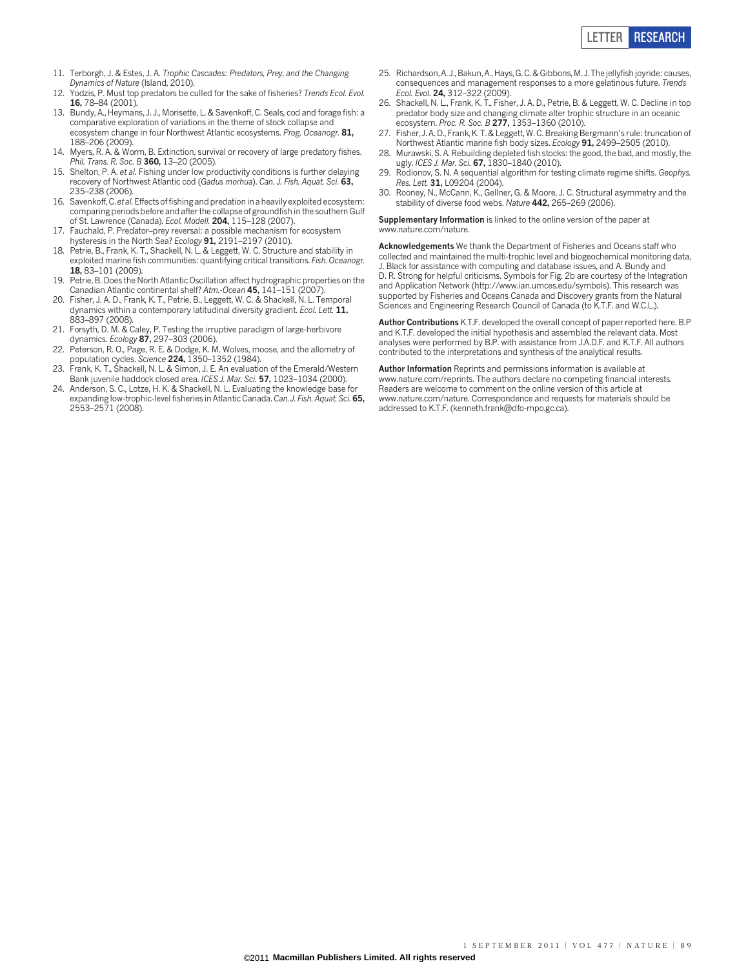

- 11. Terborgh, J. & Estes, J. A. Trophic Cascades: Predators, Prey, and the Changing Dynamics of Nature (Island, 2010).
- 12. Yodzis, P. Must top predators be culled for the sake of fisheries? Trends Ecol. Evol. 16, 78–84 (2001).
- 13. Bundy, A., Heymans, J. J., Morisette, L. & Savenkoff, C. Seals, cod and forage fish: a comparative exploration of variations in the theme of stock collapse and ecosystem change in four Northwest Atlantic ecosystems. Prog. Oceanogr. 81, 188–206 (2009).
- 14. Myers, R. A. & Worm, B. Extinction, survival or recovery of large predatory fishes. Phil. Trans. R. Soc. B 360, 13-20 (2005).
- 15. Shelton, P. A. et al. Fishing under low productivity conditions is further delaying recovery of Northwest Atlantic cod (Gadus morhua). Can. J. Fish. Aquat. Sci. 63, 235–238 (2006).
- 16. Savenkoff, C. et al.Effects of fishing and predation in a heavily exploited ecosystem: comparing periods before and after the collapse of groundfish in the southern Gulf of St. Lawrence (Canada). Ecol. Modell. 204, 115–128 (2007).
- 17. Fauchald, P. Predator–prey reversal: a possible mechanism for ecosystem hysteresis in the North Sea? Ecology 91, 2191-2197 (2010).
- 18. Petrie, B., Frank, K. T., Shackell, N. L. & Leggett, W. C. Structure and stability in exploited marine fish communities: quantifying critical transitions. Fish. Oceanogr. 18, 83–101 (2009).
- Petrie, B. Does the North Atlantic Oscillation affect hydrographic properties on the Canadian Atlantic continental shelf? Atm.-Ocean 45, 141–151 (2007).
- 20. Fisher, J. A. D., Frank, K. T., Petrie, B., Leggett, W. C. & Shackell, N. L. Temporal dynamics within a contemporary latitudinal diversity gradient. Ecol. Lett. 11. 883–897 (2008).
- 21. Forsyth, D. M. & Caley, P. Testing the irruptive paradigm of large-herbivore dynamics. Ecology 87, 297-303 (2006)
- 22. Peterson, R. O., Page, R. E. & Dodge, K. M. Wolves, moose, and the allometry of population cycles. Science **224,** 1350–1352 (1984).
- 23. Frank, K. T., Shackell, N. L. & Simon, J. E. An evaluation of the Emerald/Western Bank juvenile haddock closed area. ICES J. Mar. Sci. 57, 1023–1034 (2000).
- 24. Anderson, S. C., Lotze, H. K. & Shackell, N. L. Evaluating the knowledge base for expanding low-trophic-level fisheries in Atlantic Canada. Can. J. Fish. Aquat. Sci. 65, 2553–2571 (2008).
- 25. Richardson, A. J., Bakun, A., Hays, G. C. & Gibbons, M. J. The jellyfish joyride: causes, consequences and management responses to a more gelatinous future. Trends Ecol. Evol. 24, 312–322 (2009).
- 26. Shackell, N. L., Frank, K. T., Fisher, J. A. D., Petrie, B. & Leggett, W. C. Decline in top predator body size and changing climate alter trophic structure in an oceanic ecosystem. Proc. R. Soc. B  $277, 1353 - 1360$  (2010).
- 27. Fisher, J. A. D., Frank, K. T. & Leggett, W. C. Breaking Bergmann's rule: truncation of Northwest Atlantic marine fish body sizes. Ecology 91, 2499–2505 (2010).
- 28. Murawski, S. A. Rebuilding depleted fish stocks: the good, the bad, and mostly, the ugly. ICES J. Mar. Sci. 67, 1830-1840 (2010).
- 29. Rodionov, S. N. A sequential algorithm for testing climate regime shifts. Geophys. Res. Lett. 31, L09204 (2004).
- 30. Rooney, N., McCann, K., Gellner, G. & Moore, J. C. Structural asymmetry and the stability of diverse food webs. Nature 442, 265-269 (2006).

Supplementary Information is linked to the online version of the paper at <www.nature.com/nature>.

Acknowledgements We thank the Department of Fisheries and Oceans staff who collected and maintained the multi-trophic level and biogeochemical monitoring data, J. Black for assistance with computing and database issues, and A. Bundy and D. R. Strong for helpful criticisms. Symbols for Fig. 2b are courtesy of the Integration and Application Network [\(http://www.ian.umces.edu/symbols](http://www.ian.umces.edu/symbols)). This research was supported by Fisheries and Oceans Canada and Discovery grants from the Natural Sciences and Engineering Research Council of Canada (to K.T.F. and W.C.L.).

Author Contributions K.T.F. developed the overall concept of paper reported here. B.P and K.T.F. developed the initial hypothesis and assembled the relevant data. Most analyses were performed by B.P. with assistance from J.A.D.F. and K.T.F. All authors contributed to the interpretations and synthesis of the analytical results.

Author Information Reprints and permissions information is available at [www.nature.com/reprints.](www.nature.com/reprints) The authors declare no competing financial interests. Readers are welcome to comment on the online version of this article at <www.nature.com/nature>. Correspondence and requests for materials should be addressed to K.T.F. [\(kenneth.frank@dfo-mpo.gc.ca](mailto:kenneth.frank@dfo-mpo.gc.ca)).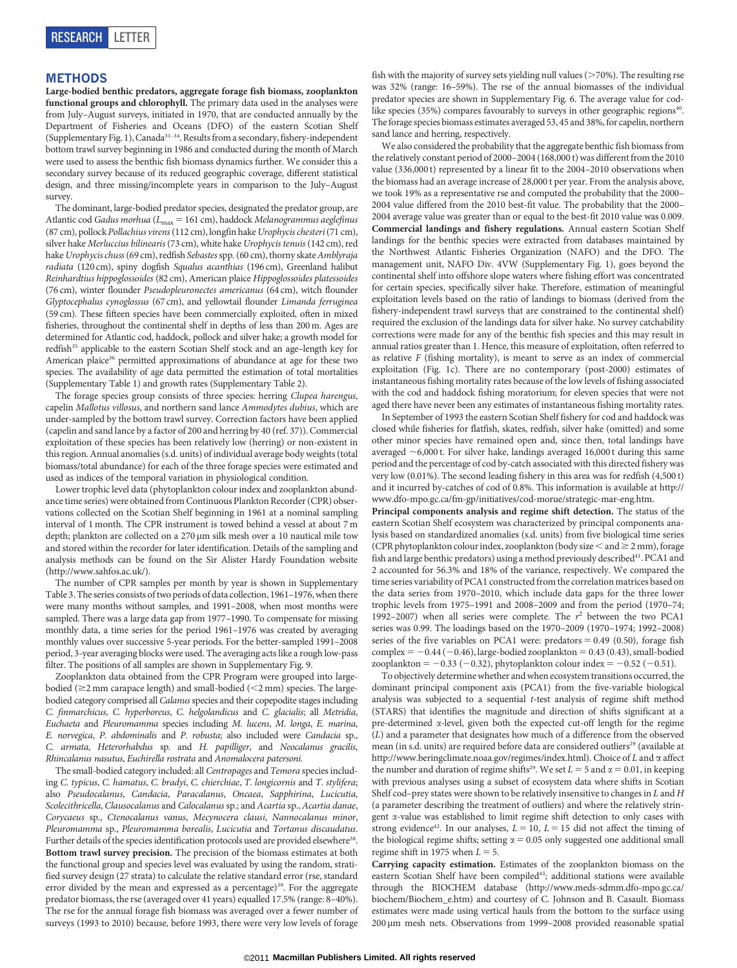#### METHODS

Large-bodied benthic predators, aggregate forage fish biomass, zooplankton functional groups and chlorophyll. The primary data used in the analyses were from July–August surveys, initiated in 1970, that are conducted annually by the Department of Fisheries and Oceans (DFO) of the eastern Scotian Shelf (Supplementary Fig. 1), Canada31–34. Results from a secondary,fishery-independent bottom trawl survey beginning in 1986 and conducted during the month of March were used to assess the benthic fish biomass dynamics further. We consider this a secondary survey because of its reduced geographic coverage, different statistical design, and three missing/incomplete years in comparison to the July–August survey.

The dominant, large-bodied predator species, designated the predator group, are Atlantic cod Gadus morhua ( $L_{\text{max}}$  = 161 cm), haddock Melanogrammus aeglefinus (87 cm), pollock Pollachius virens(112 cm), longfin hakeUrophycis chesteri(71 cm), silver hake Merluccius bilinearis (73 cm), white hake Urophycis tenuis (142 cm), red hake Urophycis chuss (69 cm), redfish Sebastes spp. (60 cm), thorny skate Amblyraja radiata (120 cm), spiny dogfish Squalus acanthias (196 cm), Greenland halibut Reinhardtius hippoglossoides (82 cm), American plaice Hippoglossoides platessoides (76 cm), winter flounder Pseudopleuronectes americanus (64 cm), witch flounder Glyptocephalus cynoglossus (67 cm), and yellowtail flounder Limanda ferruginea (59 cm). These fifteen species have been commercially exploited, often in mixed fisheries, throughout the continental shelf in depths of less than 200 m. Ages are determined for Atlantic cod, haddock, pollock and silver hake; a growth model for redfish<sup>35</sup> applicable to the eastern Scotian Shelf stock and an age-length key for American plaice<sup>36</sup> permitted approximations of abundance at age for these two species. The availability of age data permitted the estimation of total mortalities (Supplementary Table 1) and growth rates (Supplementary Table 2).

The forage species group consists of three species: herring Clupea harengus, capelin Mallotus villosus, and northern sand lance Ammodytes dubius, which are under-sampled by the bottom trawl survey. Correction factors have been applied (capelin and sand lance by a factor of 200 and herring by 40 (ref. 37)). Commercial exploitation of these species has been relatively low (herring) or non-existent in this region. Annual anomalies (s.d. units) of individual average body weights (total biomass/total abundance) for each of the three forage species were estimated and used as indices of the temporal variation in physiological condition.

Lower trophic level data (phytoplankton colour index and zooplankton abundance time series) were obtained from Continuous Plankton Recorder (CPR) observations collected on the Scotian Shelf beginning in 1961 at a nominal sampling interval of 1 month. The CPR instrument is towed behind a vessel at about 7 m depth; plankton are collected on a 270 µm silk mesh over a 10 nautical mile tow and stored within the recorder for later identification. Details of the sampling and analysis methods can be found on the Sir Alister Hardy Foundation website ([http://www.sahfos.ac.uk/](http://www.sahfos.ac.uk)).

The number of CPR samples per month by year is shown in Supplementary Table 3. The series consists of two periods of data collection, 1961–1976, when there were many months without samples, and 1991–2008, when most months were sampled. There was a large data gap from 1977–1990. To compensate for missing monthly data, a time series for the period 1961–1976 was created by averaging monthly values over successive 5-year periods. For the better-sampled 1991–2008 period, 3-year averaging blocks were used. The averaging acts like a rough low-pass filter. The positions of all samples are shown in Supplementary Fig. 9.

Zooplankton data obtained from the CPR Program were grouped into largebodied ( $\geq$ 2 mm carapace length) and small-bodied ( $\leq$ 2 mm) species. The largebodied category comprised all Calanus species and their copepodite stages including C. finmarchicus, C. hyperboreus, C. helgolandicus and C. glacialis; all Metridia, Euchaeta and Pleuromamma species including M. lucens, M. longa, E. marina, E. norvegica, P. abdominalis and P. robusta; also included were Candacia sp., C. armata, Heterorhabdus sp. and H. papilliger, and Neocalanus gracilis, Rhincalanus nasutus, Euchirella rostrata and Anomalocera patersoni.

The small-bodied category included: all Centropages and Temora species including C. typicus, C. hamatus, C. bradyi, C. chierchiae, T. longicornis and T. stylifera; also Pseudocalanus, Candacia, Paracalanus, Oncaea, Sapphirina, Lucicutia, Scolecithricella, Clausocalanus and Calocalanus sp.; and Acartia sp., Acartia danae, Corycaeus sp., Ctenocalanus vanus, Mecynocera clausi, Nannocalanus minor, Pleuromamma sp., Pleuromamma borealis, Lucicutia and Tortanus discaudatus. Further details of the species identification protocols used are provided elsewhere<sup>38</sup>. Bottom trawl survey precision. The precision of the biomass estimates at both the functional group and species level was evaluated by using the random, stratified survey design (27 strata) to calculate the relative standard error (rse, standard error divided by the mean and expressed as a percentage)<sup>39</sup>. For the aggregate predator biomass, the rse (averaged over 41 years) equalled 17.5% (range: 8–40%). The rse for the annual forage fish biomass was averaged over a fewer number of surveys (1993 to 2010) because, before 1993, there were very low levels of forage

fish with the majority of survey sets yielding null values ( $>70\%$ ). The resulting rse was 32% (range: 16–59%). The rse of the annual biomasses of the individual predator species are shown in Supplementary Fig. 6. The average value for codlike species (35%) compares favourably to surveys in other geographic regions<sup>40</sup>. The forage species biomass estimates averaged 53, 45 and 38%, for capelin, northern sand lance and herring, respectively.

We also considered the probability that the aggregate benthic fish biomass from the relatively constant period of 2000–2004 (168,000 t) was different from the 2010 value (336,000 t) represented by a linear fit to the 2004–2010 observations when the biomass had an average increase of 28,000 t per year. From the analysis above, we took 19% as a representative rse and computed the probability that the 2000– 2004 value differed from the 2010 best-fit value. The probability that the 2000– 2004 average value was greater than or equal to the best-fit 2010 value was 0.009. Commercial landings and fishery regulations. Annual eastern Scotian Shelf landings for the benthic species were extracted from databases maintained by the Northwest Atlantic Fisheries Organization (NAFO) and the DFO. The management unit, NAFO Div. 4VW (Supplementary Fig. 1), goes beyond the continental shelf into offshore slope waters where fishing effort was concentrated for certain species, specifically silver hake. Therefore, estimation of meaningful exploitation levels based on the ratio of landings to biomass (derived from the fishery-independent trawl surveys that are constrained to the continental shelf) required the exclusion of the landings data for silver hake. No survey catchability corrections were made for any of the benthic fish species and this may result in annual ratios greater than 1. Hence, this measure of exploitation, often referred to as relative F (fishing mortality), is meant to serve as an index of commercial exploitation (Fig. 1c). There are no contemporary (post-2000) estimates of instantaneous fishing mortality rates because of the low levels of fishing associated with the cod and haddock fishing moratorium; for eleven species that were not aged there have never been any estimates of instantaneous fishing mortality rates.

In September of 1993 the eastern Scotian Shelf fishery for cod and haddock was closed while fisheries for flatfish, skates, redfish, silver hake (omitted) and some other minor species have remained open and, since then, total landings have averaged  $\sim$  6,000 t. For silver hake, landings averaged 16,000 t during this same period and the percentage of cod by-catch associated with this directed fishery was very low (0.01%). The second leading fishery in this area was for redfish (4,500 t) and it incurred by-catches of cod of 0.8%. This information is available at [http://](http://www.dfo-mpo.gc.ca/fm-gp/initiatives/cod-morue/strategic-mar-eng.htm) [www.dfo-mpo.gc.ca/fm-gp/initiatives/cod-morue/strategic-mar-eng.htm](http://www.dfo-mpo.gc.ca/fm-gp/initiatives/cod-morue/strategic-mar-eng.htm).

Principal components analysis and regime shift detection. The status of the eastern Scotian Shelf ecosystem was characterized by principal components analysis based on standardized anomalies (s.d. units) from five biological time series (CPR phytoplankton colour index, zooplankton (body size  $<$  and  $\geq$  2 mm), forage fish and large benthic predators) using a method previously described<sup>41</sup>. PCA1 and 2 accounted for 56.3% and 18% of the variance, respectively. We compared the time series variability of PCA1 constructed from the correlation matrices based on the data series from 1970–2010, which include data gaps for the three lower trophic levels from 1975–1991 and 2008–2009 and from the period (1970–74; 1992-2007) when all series were complete. The  $r^2$  between the two PCA1 series was 0.99. The loadings based on the 1970–2009 (1970–1974; 1992–2008) series of the five variables on PCA1 were: predators  $= 0.49$  (0.50), forage fish complex =  $-0.44$  ( $-0.46$ ), large-bodied zooplankton = 0.43 (0.43), small-bodied zooplankton =  $-0.33$  ( $-0.32$ ), phytoplankton colour index =  $-0.52$  ( $-0.51$ ).

To objectively determine whether and when ecosystem transitions occurred, the dominant principal component axis (PCA1) from the five-variable biological analysis was subjected to a sequential t-test analysis of regime shift method (STARS) that identifies the magnitude and direction of shifts significant at a pre-determined a-level, given both the expected cut-off length for the regime (L) and a parameter that designates how much of a difference from the observed mean (in s.d. units) are required before data are considered outliers<sup>29</sup> (available at [http://www.beringclimate.noaa.gov/regimes/index.html\)](http://www.beringclimate.noaa.gov/regimes/index.html). Choice of L and  $\alpha$  affect the number and duration of regime shifts<sup>29</sup>. We set  $L = 5$  and  $\alpha = 0.01$ , in keeping with previous analyses using a subset of ecosystem data where shifts in Scotian Shelf cod–prey states were shown to be relatively insensitive to changes in L and H (a parameter describing the treatment of outliers) and where the relatively stringent a-value was established to limit regime shift detection to only cases with strong evidence<sup>42</sup>. In our analyses,  $L = 10$ ,  $L = 15$  did not affect the timing of the biological regime shifts; setting  $\alpha = 0.05$  only suggested one additional small regime shift in 1975 when  $L = 5$ .

Carrying capacity estimation. Estimates of the zooplankton biomass on the eastern Scotian Shelf have been compiled<sup>43</sup>; additional stations were available through the BIOCHEM database [\(http://www.meds-sdmm.dfo-mpo.gc.ca/](http://www.meds-sdmm.dfo-mpo.gc.ca/biochem/Biochem_e.htm) [biochem/Biochem\\_e.htm\)](http://www.meds-sdmm.dfo-mpo.gc.ca/biochem/Biochem_e.htm) and courtesy of C. Johnson and B. Casault. Biomass estimates were made using vertical hauls from the bottom to the surface using 200 mm mesh nets. Observations from 1999–2008 provided reasonable spatial